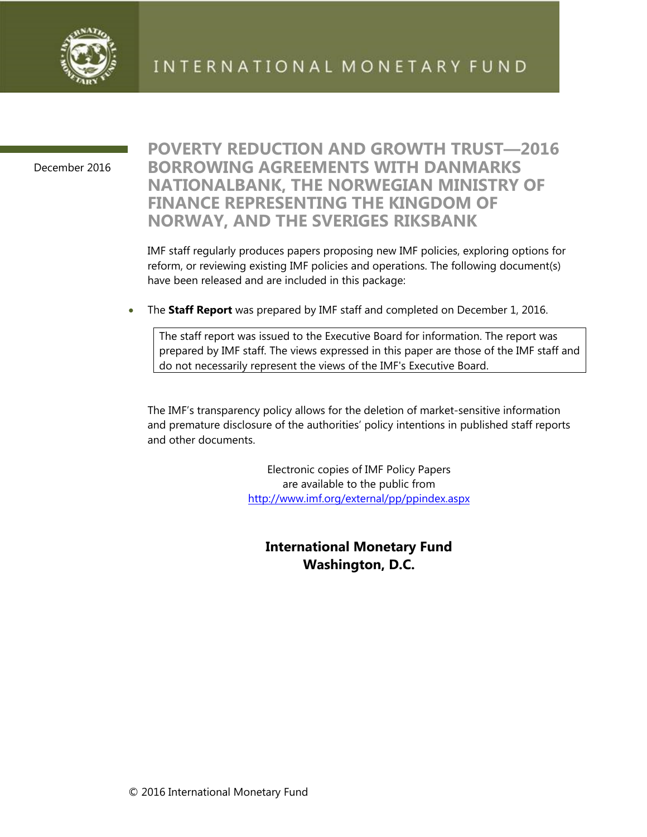

December 2016

### **POVERTY REDUCTION AND GROWTH TRUST—2016 BORROWING AGREEMENTS WITH DANMARKS NATIONALBANK, THE NORWEGIAN MINISTRY OF FINANCE REPRESENTING THE KINGDOM OF NORWAY, AND THE SVERIGES RIKSBANK**

IMF staff regularly produces papers proposing new IMF policies, exploring options for reform, or reviewing existing IMF policies and operations. The following document(s) have been released and are included in this package:

The **Staff Report** was prepared by IMF staff and completed on December 1, 2016.

The staff report was issued to the Executive Board for information. The report was prepared by IMF staff. The views expressed in this paper are those of the IMF staff and do not necessarily represent the views of the IMF's Executive Board.

The IMF's transparency policy allows for the deletion of market-sensitive information and premature disclosure of the authorities' policy intentions in published staff reports and other documents.

> Electronic copies of IMF Policy Papers are available to the public from http://www.imf.org/external/pp/ppindex.aspx

**International Monetary Fund Washington, D.C.**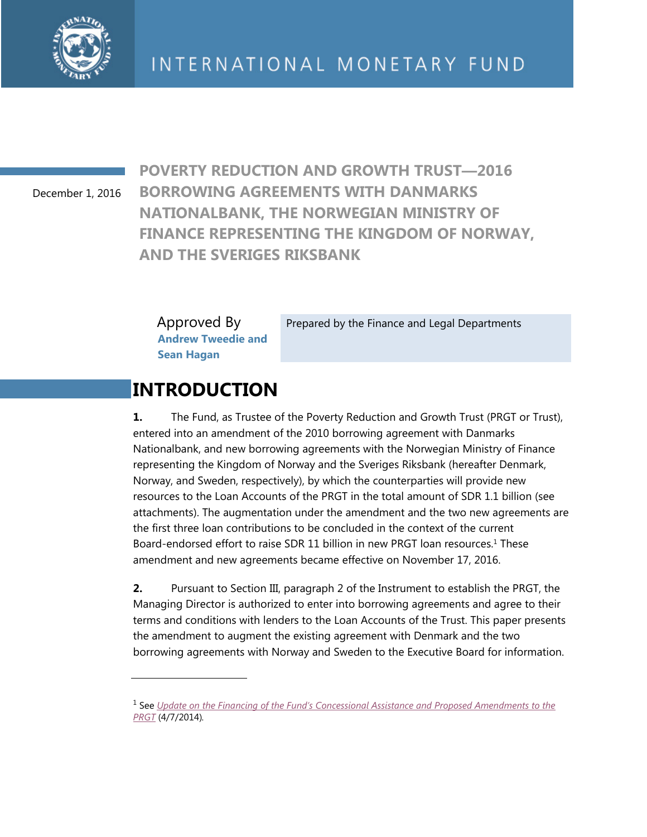

December 1, 2016

**POVERTY REDUCTION AND GROWTH TRUST—2016 BORROWING AGREEMENTS WITH DANMARKS NATIONALBANK, THE NORWEGIAN MINISTRY OF FINANCE REPRESENTING THE KINGDOM OF NORWAY, AND THE SVERIGES RIKSBANK** 

Approved By **Andrew Tweedie and Sean Hagan** 

Prepared by the Finance and Legal Departments

### **INTRODUCTION**

**1.** The Fund, as Trustee of the Poverty Reduction and Growth Trust (PRGT or Trust), entered into an amendment of the 2010 borrowing agreement with Danmarks Nationalbank, and new borrowing agreements with the Norwegian Ministry of Finance representing the Kingdom of Norway and the Sveriges Riksbank (hereafter Denmark, Norway, and Sweden, respectively), by which the counterparties will provide new resources to the Loan Accounts of the PRGT in the total amount of SDR 1.1 billion (see attachments). The augmentation under the amendment and the two new agreements are the first three loan contributions to be concluded in the context of the current Board-endorsed effort to raise SDR 11 billion in new PRGT loan resources.<sup>1</sup> These amendment and new agreements became effective on November 17, 2016.

**2.** Pursuant to Section III, paragraph 2 of the Instrument to establish the PRGT, the Managing Director is authorized to enter into borrowing agreements and agree to their terms and conditions with lenders to the Loan Accounts of the Trust. This paper presents the amendment to augment the existing agreement with Denmark and the two borrowing agreements with Norway and Sweden to the Executive Board for information.

<sup>1</sup> See *Update on the Financing of the Fund's Concessional Assistance and Proposed Amendments to the PRGT* (4/7/2014)*.*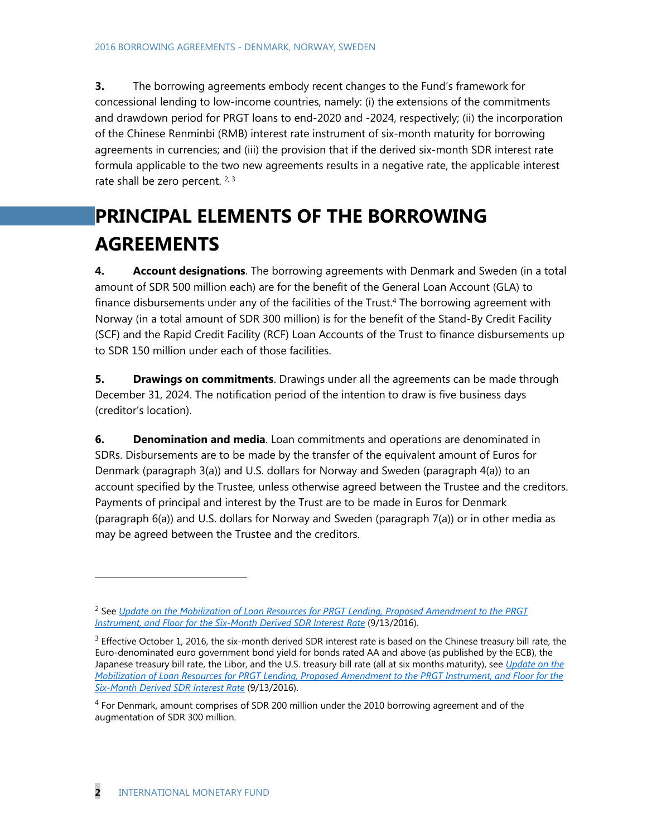**3.** The borrowing agreements embody recent changes to the Fund's framework for concessional lending to low-income countries, namely: (i) the extensions of the commitments and drawdown period for PRGT loans to end-2020 and -2024, respectively; (ii) the incorporation of the Chinese Renminbi (RMB) interest rate instrument of six-month maturity for borrowing agreements in currencies; and (iii) the provision that if the derived six-month SDR interest rate formula applicable to the two new agreements results in a negative rate, the applicable interest rate shall be zero percent.  $2, 3$ 

# **PRINCIPAL ELEMENTS OF THE BORROWING AGREEMENTS**

**4. Account designations**. The borrowing agreements with Denmark and Sweden (in a total amount of SDR 500 million each) are for the benefit of the General Loan Account (GLA) to finance disbursements under any of the facilities of the Trust.<sup>4</sup> The borrowing agreement with Norway (in a total amount of SDR 300 million) is for the benefit of the Stand-By Credit Facility (SCF) and the Rapid Credit Facility (RCF) Loan Accounts of the Trust to finance disbursements up to SDR 150 million under each of those facilities.

**5. Drawings on commitments**. Drawings under all the agreements can be made through December 31, 2024. The notification period of the intention to draw is five business days (creditor's location).

**6. Denomination and media**. Loan commitments and operations are denominated in SDRs. Disbursements are to be made by the transfer of the equivalent amount of Euros for Denmark (paragraph 3(a)) and U.S. dollars for Norway and Sweden (paragraph 4(a)) to an account specified by the Trustee, unless otherwise agreed between the Trustee and the creditors. Payments of principal and interest by the Trust are to be made in Euros for Denmark (paragraph 6(a)) and U.S. dollars for Norway and Sweden (paragraph 7(a)) or in other media as may be agreed between the Trustee and the creditors.

-

<sup>2</sup> See *Update on the Mobilization of Loan Resources for PRGT Lending, Proposed Amendment to the PRGT Instrument, and Floor for the Six-Month Derived SDR Interest Rate* (9/13/2016).

<sup>&</sup>lt;sup>3</sup> Effective October 1, 2016, the six-month derived SDR interest rate is based on the Chinese treasury bill rate, the Euro-denominated euro government bond yield for bonds rated AA and above (as published by the ECB), the Japanese treasury bill rate, the Libor, and the U.S. treasury bill rate (all at six months maturity), see *Update on the Mobilization of Loan Resources for PRGT Lending, Proposed Amendment to the PRGT Instrument, and Floor for the Six-Month Derived SDR Interest Rate* (9/13/2016).

<sup>4</sup> For Denmark, amount comprises of SDR 200 million under the 2010 borrowing agreement and of the augmentation of SDR 300 million.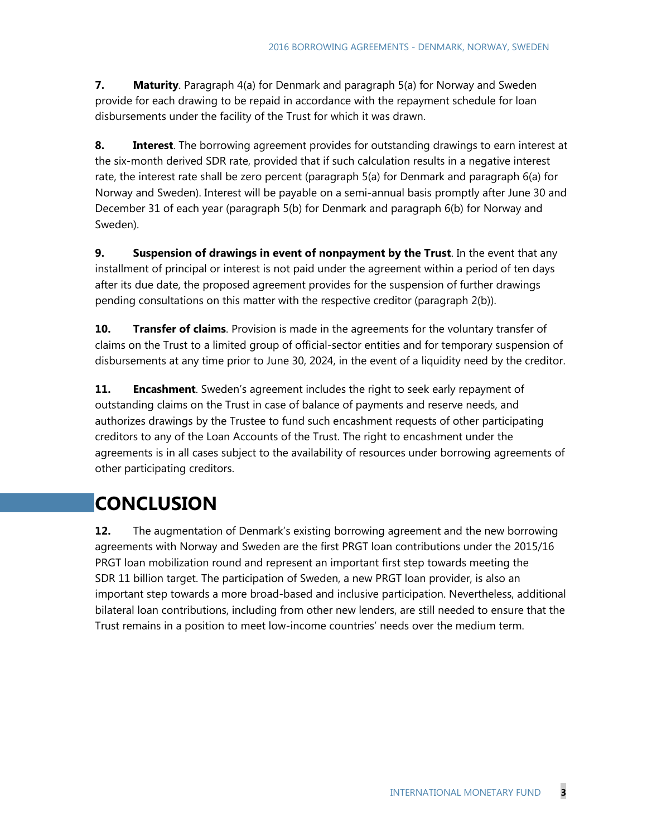**7. Maturity**. Paragraph 4(a) for Denmark and paragraph 5(a) for Norway and Sweden provide for each drawing to be repaid in accordance with the repayment schedule for loan disbursements under the facility of the Trust for which it was drawn.

**8. Interest**. The borrowing agreement provides for outstanding drawings to earn interest at the six-month derived SDR rate, provided that if such calculation results in a negative interest rate, the interest rate shall be zero percent (paragraph 5(a) for Denmark and paragraph 6(a) for Norway and Sweden). Interest will be payable on a semi-annual basis promptly after June 30 and December 31 of each year (paragraph 5(b) for Denmark and paragraph 6(b) for Norway and Sweden).

**9. Suspension of drawings in event of nonpayment by the Trust**. In the event that any installment of principal or interest is not paid under the agreement within a period of ten days after its due date, the proposed agreement provides for the suspension of further drawings pending consultations on this matter with the respective creditor (paragraph 2(b)).

**10.** Transfer of claims. Provision is made in the agreements for the voluntary transfer of claims on the Trust to a limited group of official-sector entities and for temporary suspension of disbursements at any time prior to June 30, 2024, in the event of a liquidity need by the creditor.

**11. Encashment**. Sweden's agreement includes the right to seek early repayment of outstanding claims on the Trust in case of balance of payments and reserve needs, and authorizes drawings by the Trustee to fund such encashment requests of other participating creditors to any of the Loan Accounts of the Trust. The right to encashment under the agreements is in all cases subject to the availability of resources under borrowing agreements of other participating creditors.

# **CONCLUSION**

**12.** The augmentation of Denmark's existing borrowing agreement and the new borrowing agreements with Norway and Sweden are the first PRGT loan contributions under the 2015/16 PRGT loan mobilization round and represent an important first step towards meeting the SDR 11 billion target. The participation of Sweden, a new PRGT loan provider, is also an important step towards a more broad-based and inclusive participation. Nevertheless, additional bilateral loan contributions, including from other new lenders, are still needed to ensure that the Trust remains in a position to meet low-income countries' needs over the medium term.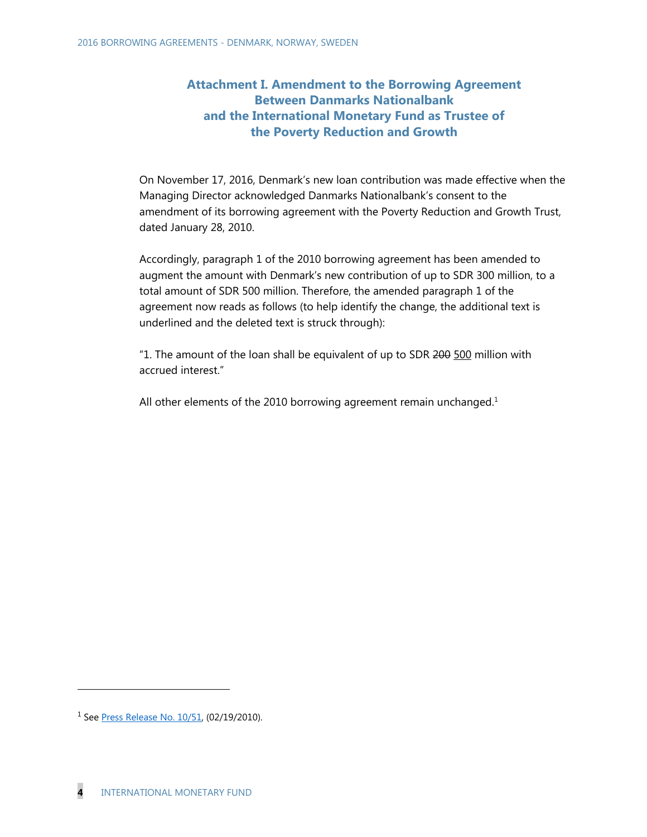### **Attachment I. Amendment to the Borrowing Agreement Between Danmarks Nationalbank and the International Monetary Fund as Trustee of the Poverty Reduction and Growth**

On November 17, 2016, Denmark's new loan contribution was made effective when the Managing Director acknowledged Danmarks Nationalbank's consent to the amendment of its borrowing agreement with the Poverty Reduction and Growth Trust, dated January 28, 2010.

Accordingly, paragraph 1 of the 2010 borrowing agreement has been amended to augment the amount with Denmark's new contribution of up to SDR 300 million, to a total amount of SDR 500 million. Therefore, the amended paragraph 1 of the agreement now reads as follows (to help identify the change, the additional text is underlined and the deleted text is struck through):

"1. The amount of the loan shall be equivalent of up to SDR 200 500 million with accrued interest."

All other elements of the 2010 borrowing agreement remain unchanged.<sup>1</sup>

-

<sup>&</sup>lt;sup>1</sup> See Press Release No. 10/51, (02/19/2010).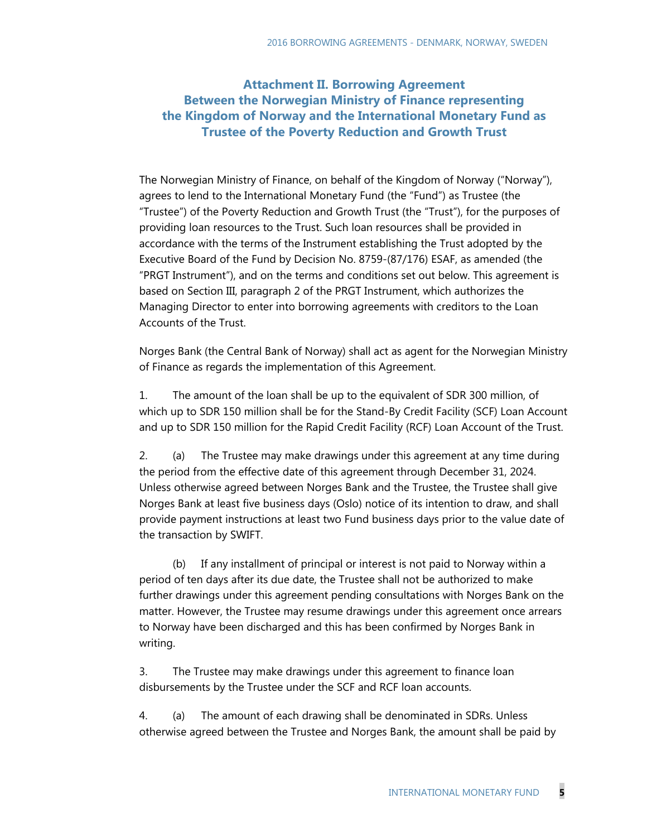### **Attachment II. Borrowing Agreement Between the Norwegian Ministry of Finance representing the Kingdom of Norway and the International Monetary Fund as Trustee of the Poverty Reduction and Growth Trust**

The Norwegian Ministry of Finance, on behalf of the Kingdom of Norway ("Norway"), agrees to lend to the International Monetary Fund (the "Fund") as Trustee (the "Trustee") of the Poverty Reduction and Growth Trust (the "Trust"), for the purposes of providing loan resources to the Trust. Such loan resources shall be provided in accordance with the terms of the Instrument establishing the Trust adopted by the Executive Board of the Fund by Decision No. 8759-(87/176) ESAF, as amended (the "PRGT Instrument"), and on the terms and conditions set out below. This agreement is based on Section III, paragraph 2 of the PRGT Instrument, which authorizes the Managing Director to enter into borrowing agreements with creditors to the Loan Accounts of the Trust.

Norges Bank (the Central Bank of Norway) shall act as agent for the Norwegian Ministry of Finance as regards the implementation of this Agreement.

1. The amount of the loan shall be up to the equivalent of SDR 300 million, of which up to SDR 150 million shall be for the Stand-By Credit Facility (SCF) Loan Account and up to SDR 150 million for the Rapid Credit Facility (RCF) Loan Account of the Trust.

2. (a) The Trustee may make drawings under this agreement at any time during the period from the effective date of this agreement through December 31, 2024. Unless otherwise agreed between Norges Bank and the Trustee, the Trustee shall give Norges Bank at least five business days (Oslo) notice of its intention to draw, and shall provide payment instructions at least two Fund business days prior to the value date of the transaction by SWIFT.

 (b) If any installment of principal or interest is not paid to Norway within a period of ten days after its due date, the Trustee shall not be authorized to make further drawings under this agreement pending consultations with Norges Bank on the matter. However, the Trustee may resume drawings under this agreement once arrears to Norway have been discharged and this has been confirmed by Norges Bank in writing.

3. The Trustee may make drawings under this agreement to finance loan disbursements by the Trustee under the SCF and RCF loan accounts.

4. (a) The amount of each drawing shall be denominated in SDRs. Unless otherwise agreed between the Trustee and Norges Bank, the amount shall be paid by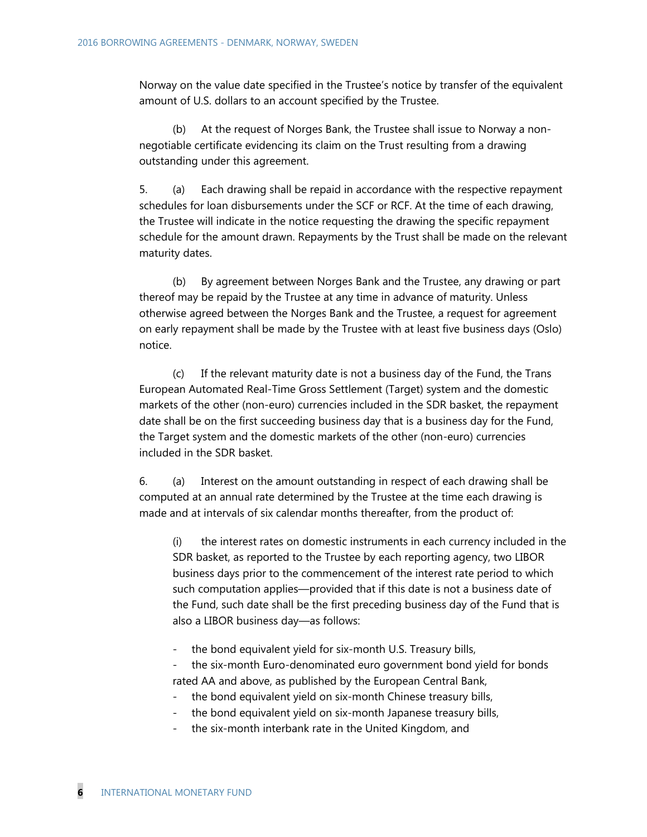Norway on the value date specified in the Trustee's notice by transfer of the equivalent amount of U.S. dollars to an account specified by the Trustee.

 (b) At the request of Norges Bank, the Trustee shall issue to Norway a nonnegotiable certificate evidencing its claim on the Trust resulting from a drawing outstanding under this agreement.

5. (a) Each drawing shall be repaid in accordance with the respective repayment schedules for loan disbursements under the SCF or RCF. At the time of each drawing, the Trustee will indicate in the notice requesting the drawing the specific repayment schedule for the amount drawn. Repayments by the Trust shall be made on the relevant maturity dates.

 (b) By agreement between Norges Bank and the Trustee, any drawing or part thereof may be repaid by the Trustee at any time in advance of maturity. Unless otherwise agreed between the Norges Bank and the Trustee, a request for agreement on early repayment shall be made by the Trustee with at least five business days (Oslo) notice.

 (c) If the relevant maturity date is not a business day of the Fund, the Trans European Automated Real-Time Gross Settlement (Target) system and the domestic markets of the other (non-euro) currencies included in the SDR basket, the repayment date shall be on the first succeeding business day that is a business day for the Fund, the Target system and the domestic markets of the other (non-euro) currencies included in the SDR basket.

6. (a) Interest on the amount outstanding in respect of each drawing shall be computed at an annual rate determined by the Trustee at the time each drawing is made and at intervals of six calendar months thereafter, from the product of:

(i) the interest rates on domestic instruments in each currency included in the SDR basket, as reported to the Trustee by each reporting agency, two LIBOR business days prior to the commencement of the interest rate period to which such computation applies—provided that if this date is not a business date of the Fund, such date shall be the first preceding business day of the Fund that is also a LIBOR business day—as follows:

- the bond equivalent yield for six-month U.S. Treasury bills,

the six-month Euro-denominated euro government bond yield for bonds rated AA and above, as published by the European Central Bank,

- the bond equivalent yield on six-month Chinese treasury bills,
- the bond equivalent yield on six-month Japanese treasury bills,
- the six-month interbank rate in the United Kingdom, and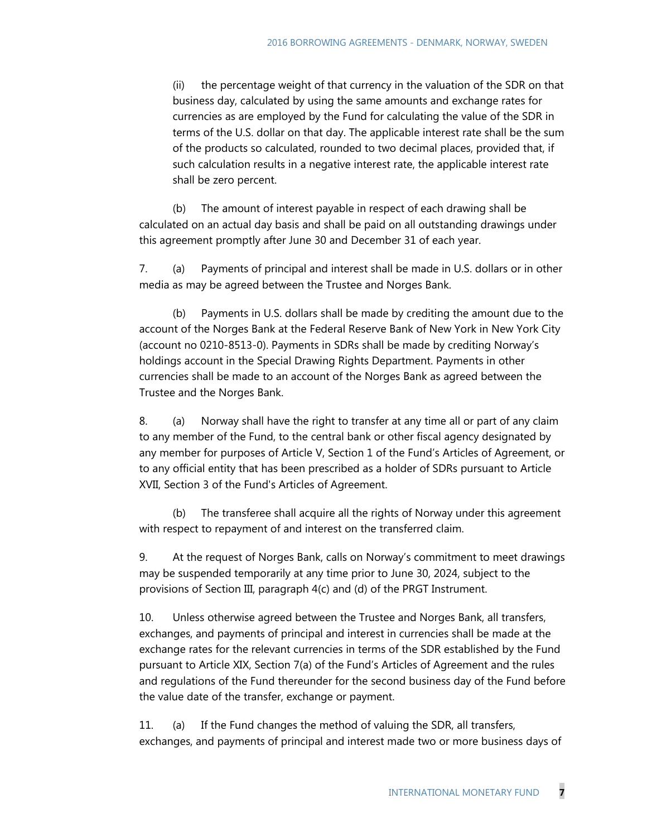(ii) the percentage weight of that currency in the valuation of the SDR on that business day, calculated by using the same amounts and exchange rates for currencies as are employed by the Fund for calculating the value of the SDR in terms of the U.S. dollar on that day. The applicable interest rate shall be the sum of the products so calculated, rounded to two decimal places, provided that, if such calculation results in a negative interest rate, the applicable interest rate shall be zero percent.

 (b) The amount of interest payable in respect of each drawing shall be calculated on an actual day basis and shall be paid on all outstanding drawings under this agreement promptly after June 30 and December 31 of each year.

7. (a) Payments of principal and interest shall be made in U.S. dollars or in other media as may be agreed between the Trustee and Norges Bank.

 (b) Payments in U.S. dollars shall be made by crediting the amount due to the account of the Norges Bank at the Federal Reserve Bank of New York in New York City (account no 0210-8513-0). Payments in SDRs shall be made by crediting Norway's holdings account in the Special Drawing Rights Department. Payments in other currencies shall be made to an account of the Norges Bank as agreed between the Trustee and the Norges Bank.

8. (a) Norway shall have the right to transfer at any time all or part of any claim to any member of the Fund, to the central bank or other fiscal agency designated by any member for purposes of Article V, Section 1 of the Fund's Articles of Agreement, or to any official entity that has been prescribed as a holder of SDRs pursuant to Article XVII, Section 3 of the Fund's Articles of Agreement.

 (b) The transferee shall acquire all the rights of Norway under this agreement with respect to repayment of and interest on the transferred claim.

9. At the request of Norges Bank, calls on Norway's commitment to meet drawings may be suspended temporarily at any time prior to June 30, 2024, subject to the provisions of Section III, paragraph 4(c) and (d) of the PRGT Instrument.

10. Unless otherwise agreed between the Trustee and Norges Bank, all transfers, exchanges, and payments of principal and interest in currencies shall be made at the exchange rates for the relevant currencies in terms of the SDR established by the Fund pursuant to Article XIX, Section 7(a) of the Fund's Articles of Agreement and the rules and regulations of the Fund thereunder for the second business day of the Fund before the value date of the transfer, exchange or payment.

11. (a) If the Fund changes the method of valuing the SDR, all transfers, exchanges, and payments of principal and interest made two or more business days of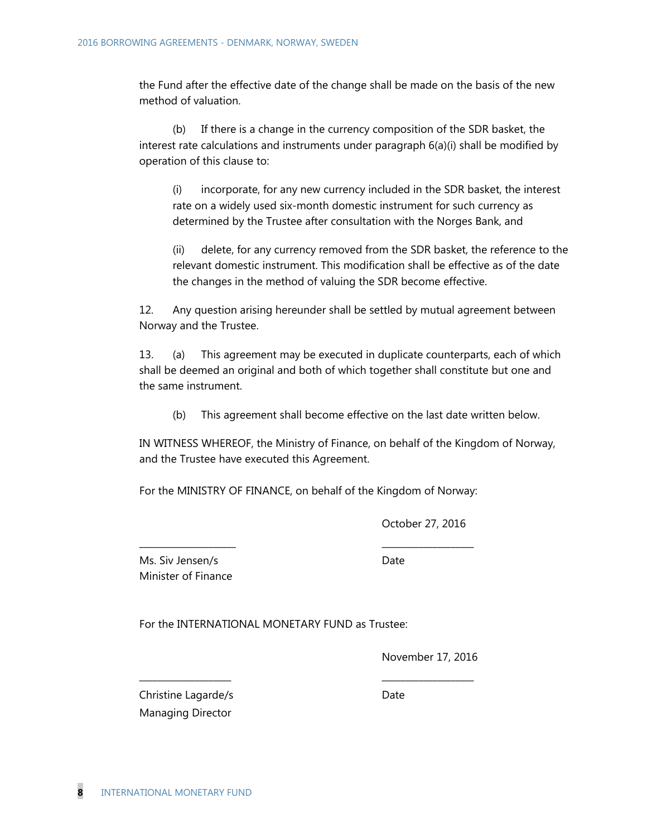the Fund after the effective date of the change shall be made on the basis of the new method of valuation.

 (b) If there is a change in the currency composition of the SDR basket, the interest rate calculations and instruments under paragraph 6(a)(i) shall be modified by operation of this clause to:

(i) incorporate, for any new currency included in the SDR basket, the interest rate on a widely used six-month domestic instrument for such currency as determined by the Trustee after consultation with the Norges Bank, and

(ii) delete, for any currency removed from the SDR basket, the reference to the relevant domestic instrument. This modification shall be effective as of the date the changes in the method of valuing the SDR become effective.

12. Any question arising hereunder shall be settled by mutual agreement between Norway and the Trustee.

13. (a) This agreement may be executed in duplicate counterparts, each of which shall be deemed an original and both of which together shall constitute but one and the same instrument.

(b) This agreement shall become effective on the last date written below.

IN WITNESS WHEREOF, the Ministry of Finance, on behalf of the Kingdom of Norway, and the Trustee have executed this Agreement.

For the MINISTRY OF FINANCE, on behalf of the Kingdom of Norway:

\_\_\_\_\_\_\_\_\_\_\_\_\_\_\_\_\_\_\_\_\_ \_\_\_\_\_\_\_\_\_\_\_\_\_\_\_\_\_\_\_\_

\_\_\_\_\_\_\_\_\_\_\_\_\_\_\_\_\_\_\_\_ \_\_\_\_\_\_\_\_\_\_\_\_\_\_\_\_\_\_\_\_

October 27, 2016

Ms. Siv Jensen/s Date Minister of Finance

For the INTERNATIONAL MONETARY FUND as Trustee:

November 17, 2016

Christine Lagarde/s Date Managing Director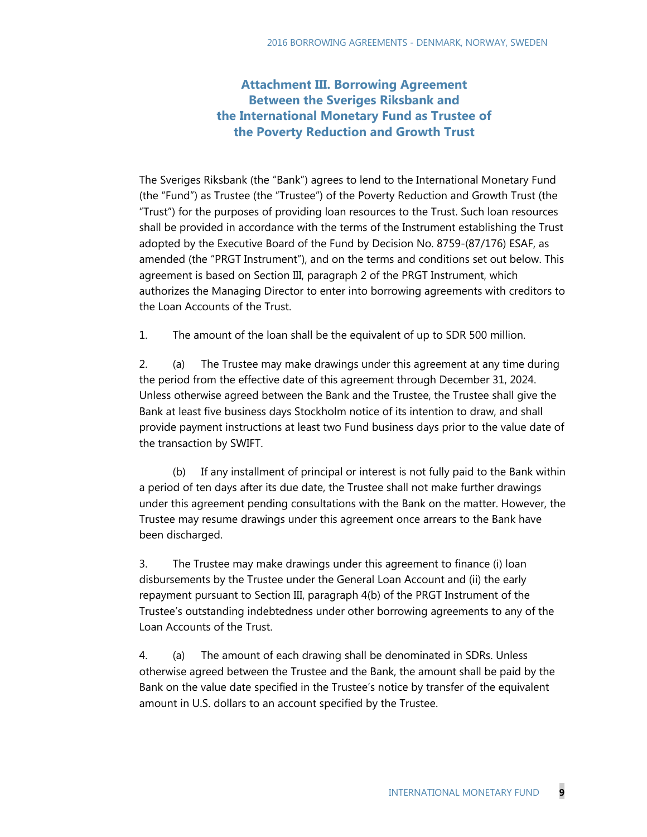### **Attachment III. Borrowing Agreement Between the Sveriges Riksbank and the International Monetary Fund as Trustee of the Poverty Reduction and Growth Trust**

The Sveriges Riksbank (the "Bank") agrees to lend to the International Monetary Fund (the "Fund") as Trustee (the "Trustee") of the Poverty Reduction and Growth Trust (the "Trust") for the purposes of providing loan resources to the Trust. Such loan resources shall be provided in accordance with the terms of the Instrument establishing the Trust adopted by the Executive Board of the Fund by Decision No. 8759-(87/176) ESAF, as amended (the "PRGT Instrument"), and on the terms and conditions set out below. This agreement is based on Section III, paragraph 2 of the PRGT Instrument, which authorizes the Managing Director to enter into borrowing agreements with creditors to the Loan Accounts of the Trust.

1. The amount of the loan shall be the equivalent of up to SDR 500 million.

2. (a) The Trustee may make drawings under this agreement at any time during the period from the effective date of this agreement through December 31, 2024. Unless otherwise agreed between the Bank and the Trustee, the Trustee shall give the Bank at least five business days Stockholm notice of its intention to draw, and shall provide payment instructions at least two Fund business days prior to the value date of the transaction by SWIFT.

 (b) If any installment of principal or interest is not fully paid to the Bank within a period of ten days after its due date, the Trustee shall not make further drawings under this agreement pending consultations with the Bank on the matter. However, the Trustee may resume drawings under this agreement once arrears to the Bank have been discharged.

3. The Trustee may make drawings under this agreement to finance (i) loan disbursements by the Trustee under the General Loan Account and (ii) the early repayment pursuant to Section III, paragraph 4(b) of the PRGT Instrument of the Trustee's outstanding indebtedness under other borrowing agreements to any of the Loan Accounts of the Trust.

4. (a) The amount of each drawing shall be denominated in SDRs. Unless otherwise agreed between the Trustee and the Bank, the amount shall be paid by the Bank on the value date specified in the Trustee's notice by transfer of the equivalent amount in U.S. dollars to an account specified by the Trustee.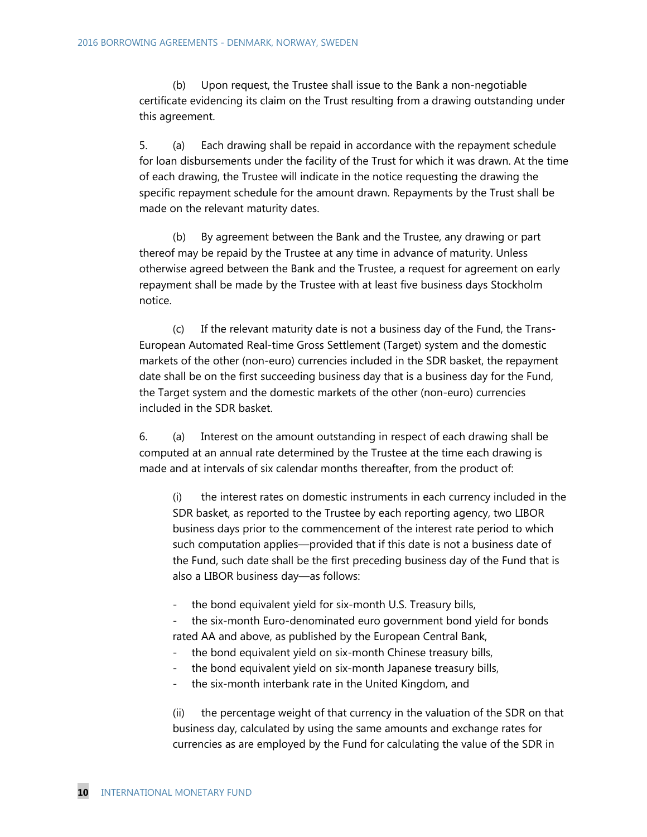(b) Upon request, the Trustee shall issue to the Bank a non-negotiable certificate evidencing its claim on the Trust resulting from a drawing outstanding under this agreement.

5. (a) Each drawing shall be repaid in accordance with the repayment schedule for loan disbursements under the facility of the Trust for which it was drawn. At the time of each drawing, the Trustee will indicate in the notice requesting the drawing the specific repayment schedule for the amount drawn. Repayments by the Trust shall be made on the relevant maturity dates.

 (b) By agreement between the Bank and the Trustee, any drawing or part thereof may be repaid by the Trustee at any time in advance of maturity. Unless otherwise agreed between the Bank and the Trustee, a request for agreement on early repayment shall be made by the Trustee with at least five business days Stockholm notice.

 (c) If the relevant maturity date is not a business day of the Fund, the Trans-European Automated Real-time Gross Settlement (Target) system and the domestic markets of the other (non-euro) currencies included in the SDR basket, the repayment date shall be on the first succeeding business day that is a business day for the Fund, the Target system and the domestic markets of the other (non-euro) currencies included in the SDR basket.

6. (a) Interest on the amount outstanding in respect of each drawing shall be computed at an annual rate determined by the Trustee at the time each drawing is made and at intervals of six calendar months thereafter, from the product of:

(i) the interest rates on domestic instruments in each currency included in the SDR basket, as reported to the Trustee by each reporting agency, two LIBOR business days prior to the commencement of the interest rate period to which such computation applies—provided that if this date is not a business date of the Fund, such date shall be the first preceding business day of the Fund that is also a LIBOR business day—as follows:

the bond equivalent yield for six-month U.S. Treasury bills,

the six-month Euro-denominated euro government bond yield for bonds rated AA and above, as published by the European Central Bank,

- the bond equivalent yield on six-month Chinese treasury bills,
- the bond equivalent yield on six-month Japanese treasury bills,
- the six-month interbank rate in the United Kingdom, and

(ii) the percentage weight of that currency in the valuation of the SDR on that business day, calculated by using the same amounts and exchange rates for currencies as are employed by the Fund for calculating the value of the SDR in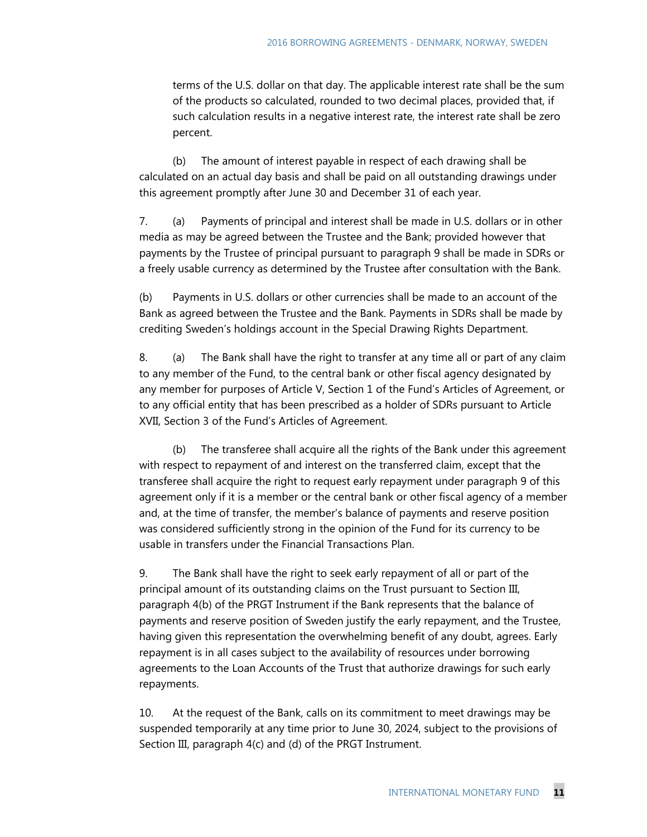terms of the U.S. dollar on that day. The applicable interest rate shall be the sum of the products so calculated, rounded to two decimal places, provided that, if such calculation results in a negative interest rate, the interest rate shall be zero percent.

 (b) The amount of interest payable in respect of each drawing shall be calculated on an actual day basis and shall be paid on all outstanding drawings under this agreement promptly after June 30 and December 31 of each year.

7. (a) Payments of principal and interest shall be made in U.S. dollars or in other media as may be agreed between the Trustee and the Bank; provided however that payments by the Trustee of principal pursuant to paragraph 9 shall be made in SDRs or a freely usable currency as determined by the Trustee after consultation with the Bank.

(b) Payments in U.S. dollars or other currencies shall be made to an account of the Bank as agreed between the Trustee and the Bank. Payments in SDRs shall be made by crediting Sweden's holdings account in the Special Drawing Rights Department.

8. (a) The Bank shall have the right to transfer at any time all or part of any claim to any member of the Fund, to the central bank or other fiscal agency designated by any member for purposes of Article V, Section 1 of the Fund's Articles of Agreement, or to any official entity that has been prescribed as a holder of SDRs pursuant to Article XVII, Section 3 of the Fund's Articles of Agreement.

 (b) The transferee shall acquire all the rights of the Bank under this agreement with respect to repayment of and interest on the transferred claim, except that the transferee shall acquire the right to request early repayment under paragraph 9 of this agreement only if it is a member or the central bank or other fiscal agency of a member and, at the time of transfer, the member's balance of payments and reserve position was considered sufficiently strong in the opinion of the Fund for its currency to be usable in transfers under the Financial Transactions Plan.

9. The Bank shall have the right to seek early repayment of all or part of the principal amount of its outstanding claims on the Trust pursuant to Section III, paragraph 4(b) of the PRGT Instrument if the Bank represents that the balance of payments and reserve position of Sweden justify the early repayment, and the Trustee, having given this representation the overwhelming benefit of any doubt, agrees. Early repayment is in all cases subject to the availability of resources under borrowing agreements to the Loan Accounts of the Trust that authorize drawings for such early repayments.

10. At the request of the Bank, calls on its commitment to meet drawings may be suspended temporarily at any time prior to June 30, 2024, subject to the provisions of Section III, paragraph 4(c) and (d) of the PRGT Instrument.